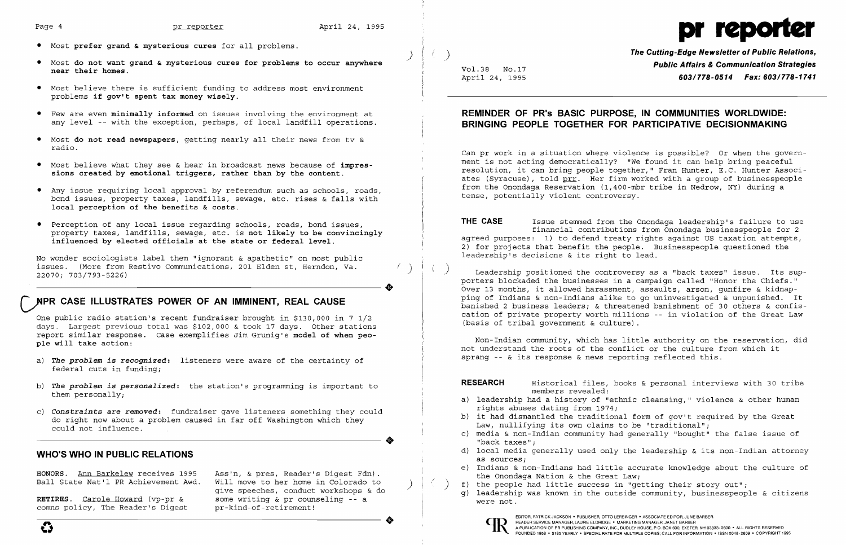

April 24, 1995 *603/778-0514 <b>Fax: 603/778-1741* 

No wonder sociologists label them "ignorant & apathetic" on most public issues. (More from Restivo Communications, 201 Elden st, Herndon, Va.<br>22070; 703/793-5226)

- • Most **prefer grand & mysterious cures** for all problems.
- Most do not want grand & mysterious cures for problems to occur anywhere **by the cutting-Edge Newsletter of Public Relations,**<br>Reference their homes. **Public Affairs & Communication Strategies Public Affairs & Communicat near their homes.** Vol. 38 No.17
- • Most believe there is sufficient funding to address most environment problems **if gov't spent tax money wisely.**
- • Few are even **minimally informed** on issues involving the environment at any level -- with the exception, perhaps, of local landfill operations.
- • Most **do not read newspapers,** getting nearly all their news from tv & radio.
- • Most believe what they see & hear in broadcast news because of **impres sions created by emotional triggers, rather than by the content.**
- • Any issue requiring local approval by referendum such as schools, roads, bond issues, property taxes, landfills, sewage, etc. rises & falls with **local perception of the benefits & costs.**
- Perception of any local issue regarding schools, roads, bond issues, property taxes, landfills, sewage, etc. is **not likely to be convincingly influenced by elected officials at the state or federal level.**

**HONORS.** Ann Barkelew receives 1995 Ball State Nat'l PR Achievement Awd.

**RETIRES.** Carole Howard (vp-pr & comns policy, The Reader's Digest Ass'n, & pres, Reader's Digest Fdn).<br>Will move to her home in Colorado to give speeches, conduct workshops & do some writing & pr counseling -- a pr-kind-of-retirement! ..

..

# **DPR CASE ILLUSTRATES POWER OF AN IMMINENT, REAL CAUSE**

One public radio station's recent fundraiser brought in \$130,000 in 7 1/2 days. Largest previous total was \$102,000 & took 17 days. Other stations report similar response. Case exemplifies Jim Grunig's **model of when people will take action:** 

- a) *The problem is recognized:* listeners were aware of the certainty of federal cuts in funding;
- b) *The problem is personalized:* the station's programming is important to them personally;
- c) *Constraints* **are removed:** fundraiser gave listeners something they could do right now about a problem caused in far off Washington which they could not influence.

 $\left(\begin{array}{c} \cdot \end{array}\right)$  Leadership positioned the controversy as a "back taxes" issue. Its supporters blockaded the businesses in a campaign called "Honor the Chiefs." Over 13 months, it allowed harassment, assaults, arson, gunfire & kidnapping of Indians & non-Indians alike to go uninvestigated & unpunished. It banished 2 business leaders; & threatened banishment of 30 others & confiscation of private property worth millions - in violation of the Great Law (basis of tribal government & culture) .

Non-Indian community, which has little authority on the reservation, did not understand the roots of the conflict or the culture from which it sprang  $-$ - & its response & news reporting reflected this.

..

## **WHO'S WHO IN PUBLIC RELATIONS**

## **REMINDER OF PR's BASIC PURPOSE, IN COMMUNITIES WORLDWIDE: BRINGING PEOPLE TOGETHER FOR PARTICIPATIVE DECISIONMAKING**

Can pr work in a situation where violence is possible? Or when the government is not acting democratically? "We found it can help bring peaceful resolution, it can bring people together," Fran Hunter, E.C. Hunter Associates (Syracuse), told prr. Her firm worked with a group of businesspeople from the Onondaga Reservation (l,400-mbr tribe in Nedrow, NY) during a tense, potentially violent controversy.

**THE CASE** Issue stemmed from the Onondaga leadership's failure to use financial contributions from Onondaga businesspeople for 2 agreed purposes: 1) to defend treaty rights against US taxation attempts, 2) for projects that benefit the people. Businesspeople questioned the leadership's decisions & its right to lead.

**RESEARCH** Historical files, books & personal interviews with 30 tribe members revealed:

c) media & non-Indian community had generally "bought" the false issue of

- a) leadership had a history of "ethnic cleansing," violence & other human rights abuses dating from 1974;
- b) it had dismantled the traditional form of gov't required by the Great Law, nullifying its own claims to be "traditional";
- "back taxes";
- as sources;
- the Onondaga Nation & the Great Law;
- $\begin{pmatrix} 1 & 1 & 1 \ 0 & 1 & 1 \end{pmatrix}$  (c) the people had little success in "getting their story out";<br>(c) leadership was known in the outside community, businesspeople
	- g) leadership was known in the outside community, businesspeople & citizens were not.



d) local media generally used only the leadership & its non-Indian attorney

e) Indians & non-Indians had little accurate knowledge about the culture of